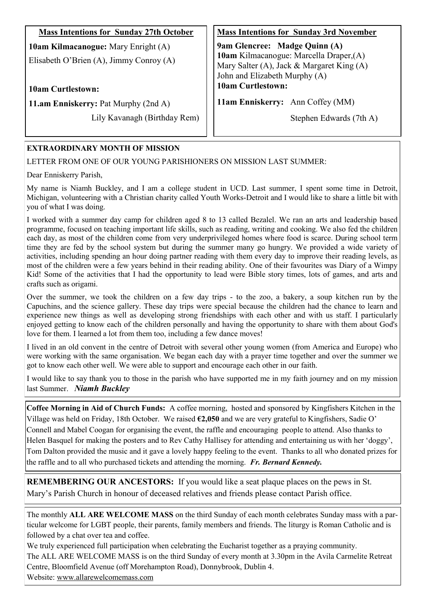| <b>Mass Intentions for Sunday 27th October</b>                                 | <b>Mass Intentions for Sunday 3rd November</b>                                                                                                         |
|--------------------------------------------------------------------------------|--------------------------------------------------------------------------------------------------------------------------------------------------------|
| 10am Kilmacanogue: Mary Enright (A)<br>Elisabeth O'Brien (A), Jimmy Conroy (A) | 9am Glencree: Madge Quinn (A)<br>10am Kilmacanogue: Marcella Draper, (A)<br>Mary Salter (A), Jack & Margaret King (A)<br>John and Elizabeth Murphy (A) |
| <b>10am Curtlestown:</b>                                                       | 10am Curtlestown:                                                                                                                                      |
| 11.am Enniskerry: Pat Murphy (2nd A)                                           | 11am Enniskerry: Ann Coffey (MM)                                                                                                                       |
| Lily Kavanagh (Birthday Rem)                                                   | Stephen Edwards (7th A)                                                                                                                                |

## **EXTRAORDINARY MONTH OF MISSION**

LETTER FROM ONE OF OUR YOUNG PARISHIONERS ON MISSION LAST SUMMER:

Dear Enniskerry Parish,

My name is Niamh Buckley, and I am a college student in UCD. Last summer, I spent some time in Detroit, Michigan, volunteering with a Christian charity called Youth Works-Detroit and I would like to share a little bit with you of what I was doing.

I worked with a summer day camp for children aged 8 to 13 called Bezalel. We ran an arts and leadership based programme, focused on teaching important life skills, such as reading, writing and cooking. We also fed the children each day, as most of the children come from very underprivileged homes where food is scarce. During school term time they are fed by the school system but during the summer many go hungry. We provided a wide variety of activities, including spending an hour doing partner reading with them every day to improve their reading levels, as most of the children were a few years behind in their reading ability. One of their favourites was Diary of a Wimpy Kid! Some of the activities that I had the opportunity to lead were Bible story times, lots of games, and arts and crafts such as origami.

Over the summer, we took the children on a few day trips - to the zoo, a bakery, a soup kitchen run by the Capuchins, and the science gallery. These day trips were special because the children had the chance to learn and experience new things as well as developing strong friendships with each other and with us staff. I particularly enjoyed getting to know each of the children personally and having the opportunity to share with them about God's love for them. I learned a lot from them too, including a few dance moves!

I lived in an old convent in the centre of Detroit with several other young women (from America and Europe) who were working with the same organisation. We began each day with a prayer time together and over the summer we got to know each other well. We were able to support and encourage each other in our faith.

I would like to say thank you to those in the parish who have supported me in my faith journey and on my mission last Summer. *Niamh Buckley*

**Coffee Morning in Aid of Church Funds:** A coffee morning, hosted and sponsored by Kingfishers Kitchen in the Village was held on Friday, 18th October. We raised **€2,050** and we are very grateful to Kingfishers, Sadie O' Connell and Mabel Coogan for organising the event, the raffle and encouraging people to attend. Also thanks to Helen Basquel for making the posters and to Rev Cathy Hallisey for attending and entertaining us with her 'doggy', Tom Dalton provided the music and it gave a lovely happy feeling to the event. Thanks to all who donated prizes for the raffle and to all who purchased tickets and attending the morning. *Fr. Bernard Kennedy.*

**REMEMBERING OUR ANCESTORS:** If you would like a seat plaque places on the pews in St. Mary's Parish Church in honour of deceased relatives and friends please contact Parish office.

The monthly **ALL ARE WELCOME MASS** on the third Sunday of each month celebrates Sunday mass with a particular welcome for LGBT people, their parents, family members and friends. The liturgy is Roman Catholic and is followed by a chat over tea and coffee.

We truly experienced full participation when celebrating the Eucharist together as a praying community.

The ALL ARE WELCOME MASS is on the third Sunday of every month at 3.30pm in the Avila Carmelite Retreat Centre, Bloomfield Avenue (off Morehampton Road), Donnybrook, Dublin 4.

Website: [www.allarewelcomemass.com](http://www.allarewelcomemass.ie/)